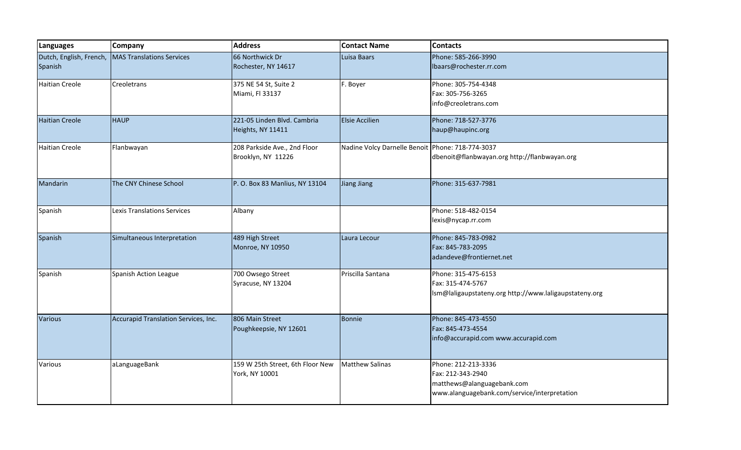| Languages                          | <b>Company</b>                       | <b>Address</b>                                     | <b>Contact Name</b>                              | <b>Contacts</b>                                                                                                        |
|------------------------------------|--------------------------------------|----------------------------------------------------|--------------------------------------------------|------------------------------------------------------------------------------------------------------------------------|
| Dutch, English, French,<br>Spanish | MAS Translations Services            | 66 Northwick Dr<br>Rochester, NY 14617             | Luisa Baars                                      | Phone: 585-266-3990<br>Ibaars@rochester.rr.com                                                                         |
| <b>Haitian Creole</b>              | Creoletrans                          | 375 NE 54 St, Suite 2<br>Miami, Fl 33137           | F. Boyer                                         | Phone: 305-754-4348<br>Fax: 305-756-3265<br>info@creoletrans.com                                                       |
| <b>Haitian Creole</b>              | <b>HAUP</b>                          | 221-05 Linden Blvd. Cambria<br>Heights, NY 11411   | <b>Elsie Accilien</b>                            | Phone: 718-527-3776<br>haup@haupinc.org                                                                                |
| <b>Haitian Creole</b>              | Flanbwayan                           | 208 Parkside Ave., 2nd Floor<br>Brooklyn, NY 11226 | Nadine Volcy Darnelle Benoit Phone: 718-774-3037 | dbenoit@flanbwayan.org http://flanbwayan.org                                                                           |
| Mandarin                           | The CNY Chinese School               | P. O. Box 83 Manlius, NY 13104                     | Jiang Jiang                                      | Phone: 315-637-7981                                                                                                    |
| Spanish                            | Lexis Translations Services          | Albany                                             |                                                  | Phone: 518-482-0154<br>lexis@nycap.rr.com                                                                              |
| Spanish                            | Simultaneous Interpretation          | 489 High Street<br>Monroe, NY 10950                | Laura Lecour                                     | Phone: 845-783-0982<br>Fax: 845-783-2095<br>adandeve@frontiernet.net                                                   |
| Spanish                            | Spanish Action League                | 700 Owsego Street<br>Syracuse, NY 13204            | Priscilla Santana                                | Phone: 315-475-6153<br>Fax: 315-474-5767<br>Ism@laligaupstateny.org http://www.laligaupstateny.org                     |
| Various                            | Accurapid Translation Services, Inc. | 806 Main Street<br>Poughkeepsie, NY 12601          | Bonnie                                           | Phone: 845-473-4550<br>Fax: 845-473-4554<br>info@accurapid.com www.accurapid.com                                       |
| Various                            | aLanguageBank                        | 159 W 25th Street, 6th Floor New<br>York, NY 10001 | <b>Matthew Salinas</b>                           | Phone: 212-213-3336<br>Fax: 212-343-2940<br>matthews@alanguagebank.com<br>www.alanguagebank.com/service/interpretation |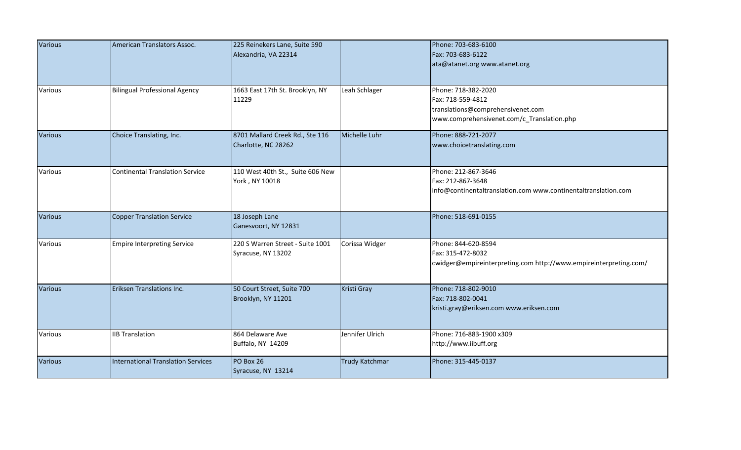| Various        | American Translators Assoc.               | 225 Reinekers Lane, Suite 590                          |                 | Phone: 703-683-6100                                                                                                         |
|----------------|-------------------------------------------|--------------------------------------------------------|-----------------|-----------------------------------------------------------------------------------------------------------------------------|
|                |                                           | Alexandria, VA 22314                                   |                 | Fax: 703-683-6122                                                                                                           |
|                |                                           |                                                        |                 | ata@atanet.org www.atanet.org                                                                                               |
| Various        | <b>Bilingual Professional Agency</b>      | 1663 East 17th St. Brooklyn, NY<br>11229               | Leah Schlager   | Phone: 718-382-2020<br>Fax: 718-559-4812<br>translations@comprehensivenet.com<br>www.comprehensivenet.com/c_Translation.php |
| <b>Various</b> | Choice Translating, Inc.                  | 8701 Mallard Creek Rd., Ste 116<br>Charlotte, NC 28262 | Michelle Luhr   | Phone: 888-721-2077<br>www.choicetranslating.com                                                                            |
| Various        | <b>Continental Translation Service</b>    | 110 West 40th St., Suite 606 New<br>York, NY 10018     |                 | Phone: 212-867-3646<br>Fax: 212-867-3648<br>info@continentaltranslation.com www.continentaltranslation.com                  |
| <b>Various</b> | <b>Copper Translation Service</b>         | 18 Joseph Lane<br>Ganesvoort, NY 12831                 |                 | Phone: 518-691-0155                                                                                                         |
| Various        | <b>Empire Interpreting Service</b>        | 220 S Warren Street - Suite 1001<br>Syracuse, NY 13202 | Corissa Widger  | Phone: 844-620-8594<br>Fax: 315-472-8032<br>cwidger@empireinterpreting.com http://www.empireinterpreting.com/               |
| <b>Various</b> | Eriksen Translations Inc.                 | 50 Court Street, Suite 700<br>Brooklyn, NY 11201       | Kristi Gray     | Phone: 718-802-9010<br>Fax: 718-802-0041<br>kristi.gray@eriksen.com www.eriksen.com                                         |
| Various        | <b>IIB Translation</b>                    | 864 Delaware Ave<br>Buffalo, NY 14209                  | Jennifer Ulrich | Phone: 716-883-1900 x309<br>http://www.iibuff.org                                                                           |
| <b>Various</b> | <b>International Translation Services</b> | PO Box 26<br>Syracuse, NY 13214                        | Trudy Katchmar  | Phone: 315-445-0137                                                                                                         |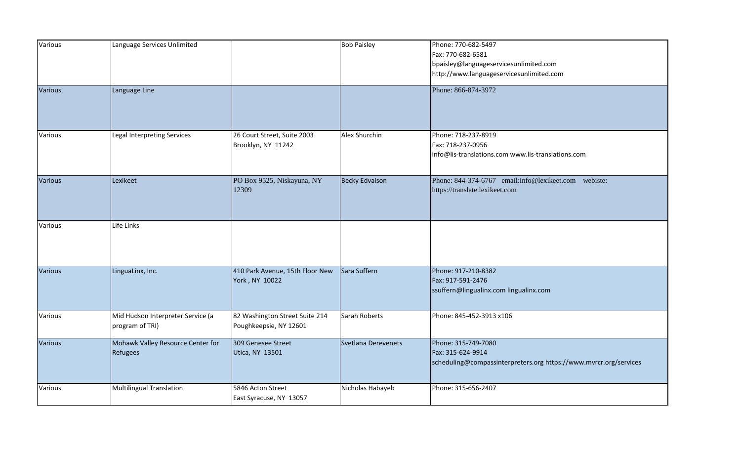| Various        | Language Services Unlimited                          |                                                          | <b>Bob Paisley</b>  | Phone: 770-682-5497<br>Fax: 770-682-6581<br>bpaisley@languageservicesunlimited.com<br>http://www.languageservicesunlimited.com |
|----------------|------------------------------------------------------|----------------------------------------------------------|---------------------|--------------------------------------------------------------------------------------------------------------------------------|
| <b>Various</b> | Language Line                                        |                                                          |                     | Phone: 866-874-3972                                                                                                            |
| Various        | Legal Interpreting Services                          | 26 Court Street, Suite 2003<br>Brooklyn, NY 11242        | Alex Shurchin       | Phone: 718-237-8919<br>Fax: 718-237-0956<br>info@lis-translations.com www.lis-translations.com                                 |
| <b>Various</b> | Lexikeet                                             | PO Box 9525, Niskayuna, NY<br>12309                      | Becky Edvalson      | Phone: 844-374-6767 email:info@lexikeet.com webiste:<br>https://translate.lexikeet.com                                         |
| Various        | Life Links                                           |                                                          |                     |                                                                                                                                |
| <b>Various</b> | LinguaLinx, Inc.                                     | 410 Park Avenue, 15th Floor New<br>York, NY 10022        | Sara Suffern        | Phone: 917-210-8382<br>Fax: 917-591-2476<br>ssuffern@lingualinx.com lingualinx.com                                             |
| Various        | Mid Hudson Interpreter Service (a<br>program of TRI) | 82 Washington Street Suite 214<br>Poughkeepsie, NY 12601 | Sarah Roberts       | Phone: 845-452-3913 x106                                                                                                       |
| Various        | Mohawk Valley Resource Center for<br>Refugees        | 309 Genesee Street<br>Utica, NY 13501                    | Svetlana Derevenets | Phone: 315-749-7080<br>Fax: 315-624-9914<br>scheduling@compassinterpreters.org https://www.mvrcr.org/services                  |
| Various        | Multilingual Translation                             | 5846 Acton Street<br>East Syracuse, NY 13057             | Nicholas Habayeb    | Phone: 315-656-2407                                                                                                            |